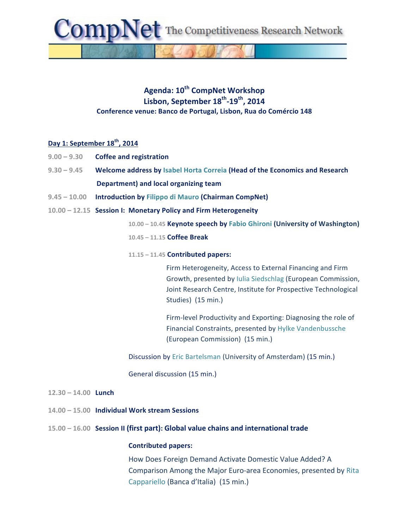The Competitiveness Research Network

## **Agenda: 10th CompNet Workshop Lisbon, September 18th-19th, 2014 Conference venue: Banco de Portugal, Lisbon, Rua do Comércio 148**

### **Day 1: September 18th, 2014**

- **9.00 – 9.30 Coffee and registration**
- 9.30 9.45 **Welcome address by Isabel Horta Correia (Head of the Economics and Research** Department) and local organizing team
- **9.45 – 10.00 Introduction by Filippo di Mauro (Chairman CompNet)**
- **10.00 – 12.15 Session I: Monetary Policy and Firm Heterogeneity**

**10.00 – 10.45 Keynote speech by Fabio Ghironi (University of Washington) 10.45 – 11.15 Coffee Break**

#### **11.15 – 11.45 Contributed papers:**

Firm Heterogeneity, Access to External Financing and Firm Growth, presented by Iulia Siedschlag (European Commission, Joint Research Centre, Institute for Prospective Technological Studies) (15 min.)

Firm-level Productivity and Exporting: Diagnosing the role of Financial Constraints, presented by Hylke Vandenbussche (European Commission) (15 min.)

Discussion by Eric Bartelsman (University of Amsterdam) (15 min.)

General discussion (15 min.)

- **12.30 – 14.00 Lunch**
- **14.00 – 15.00 Individual Work stream Sessions**
- **15.00 16.00** Session II (first part): Global value chains and international trade

#### **Contributed papers:**

How Does Foreign Demand Activate Domestic Value Added? A Comparison Among the Major Euro-area Economies, presented by Rita Cappariello (Banca d'Italia) (15 min.)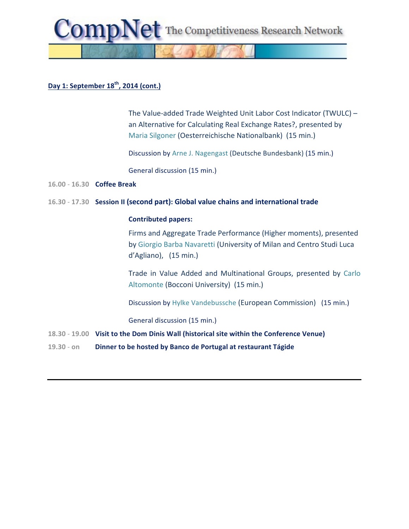

# **Day 1: September 18th, 2014 (cont.)**

The Value-added Trade Weighted Unit Labor Cost Indicator (TWULC)  $$ an Alternative for Calculating Real Exchange Rates?, presented by Maria Silgoner (Oesterreichische Nationalbank) (15 min.)

Discussion by Arne J. Nagengast (Deutsche Bundesbank) (15 min.)

General discussion (15 min.)

**16.00** - **16.30 Coffee Break**

### 16.30 - 17.30 Session II (second part): Global value chains and international trade

### **Contributed papers:**

Firms and Aggregate Trade Performance (Higher moments), presented by Giorgio Barba Navaretti (University of Milan and Centro Studi Luca d'Agliano), (15 min.)

Trade in Value Added and Multinational Groups, presented by Carlo Altomonte (Bocconi University) (15 min.)

Discussion by Hylke Vandebussche (European Commission) (15 min.)

General discussion (15 min.)

- **18.30 19.00** Visit to the Dom Dinis Wall (historical site within the Conference Venue)
- **19.30 on Dinner to be hosted by Banco de Portugal at restaurant Tágide**